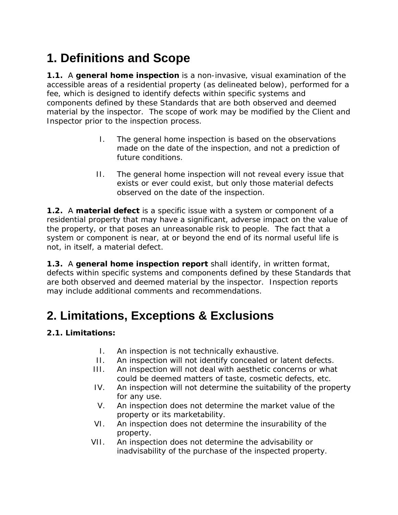# **1. Definitions and Scope**

**1.1.** A **general home inspection** is a non-invasive, visual examination of the accessible areas of a residential property (as delineated below), performed for a fee, which is designed to identify defects within specific systems and components defined by these Standards that are both observed and deemed material by the inspector. The scope of work may be modified by the Client and Inspector prior to the inspection process.

- I. The general home inspection is based on the observations made on the date of the inspection, and not a prediction of future conditions.
- II. The general home inspection will not reveal every issue that exists or ever could exist, but only those material defects observed on the date of the inspection.

**1.2.** A **material defect** is a specific issue with a system or component of a residential property that may have a significant, adverse impact on the value of the property, or that poses an unreasonable risk to people. The fact that a system or component is near, at or beyond the end of its normal useful life is not, in itself, a material defect.

**1.3.** A **general home inspection report** shall identify, in written format, defects within specific systems and components defined by these Standards that are both observed and deemed material by the inspector. Inspection reports may include additional comments and recommendations.

## **2. Limitations, Exceptions & Exclusions**

## **2.1. Limitations:**

- I. An inspection is not technically exhaustive.
- II. An inspection will not identify concealed or latent defects.
- III. An inspection will not deal with aesthetic concerns or what could be deemed matters of taste, cosmetic defects, etc.
- IV. An inspection will not determine the suitability of the property for any use.
- V. An inspection does not determine the market value of the property or its marketability.
- VI. An inspection does not determine the insurability of the property.
- VII. An inspection does not determine the advisability or inadvisability of the purchase of the inspected property.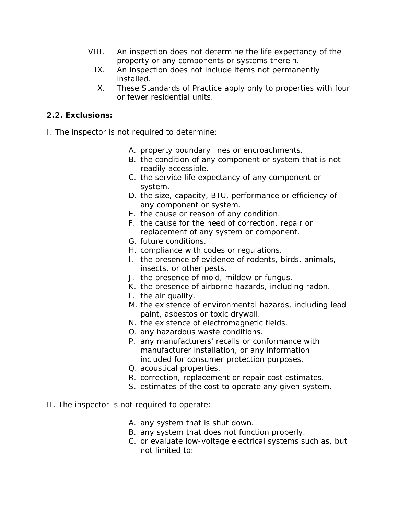- VIII. An inspection does not determine the life expectancy of the property or any components or systems therein.
	- IX. An inspection does not include items not permanently installed.
	- X. These Standards of Practice apply only to properties with four or fewer residential units.

## **2.2. Exclusions:**

- I. The inspector is not required to determine:
	- A. property boundary lines or encroachments.
	- B. the condition of any component or system that is not readily accessible.
	- C. the service life expectancy of any component or system.
	- D. the size, capacity, BTU, performance or efficiency of any component or system.
	- E. the cause or reason of any condition.
	- F. the cause for the need of correction, repair or replacement of any system or component.
	- G. future conditions.
	- H. compliance with codes or regulations.
	- I. the presence of evidence of rodents, birds, animals, insects, or other pests.
	- J. the presence of mold, mildew or fungus.
	- K. the presence of airborne hazards, including radon.
	- L. the air quality.
	- M. the existence of environmental hazards, including lead paint, asbestos or toxic drywall.
	- N. the existence of electromagnetic fields.
	- O. any hazardous waste conditions.
	- P. any manufacturers' recalls or conformance with manufacturer installation, or any information included for consumer protection purposes.
	- Q. acoustical properties.
	- R. correction, replacement or repair cost estimates.
	- S. estimates of the cost to operate any given system.
- II. The inspector is not required to operate:
	- A. any system that is shut down.
	- B. any system that does not function properly.
	- C. or evaluate low-voltage electrical systems such as, but not limited to: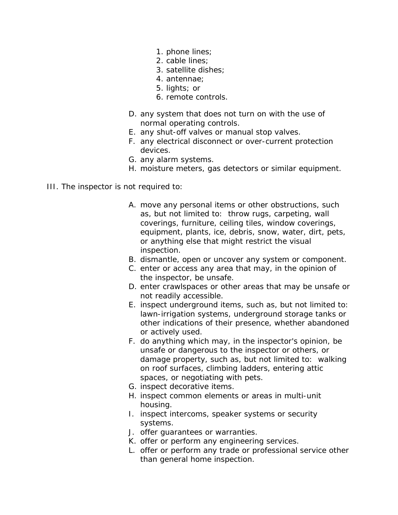- 1. phone lines;
- 2. cable lines;
- 3. satellite dishes;
- 4. antennae;
- 5. lights; or
- 6. remote controls.
- D. any system that does not turn on with the use of normal operating controls.
- E. any shut-off valves or manual stop valves.
- F. any electrical disconnect or over-current protection devices.
- G. any alarm systems.
- H. moisture meters, gas detectors or similar equipment.
- III. The inspector is not required to:
	- A. move any personal items or other obstructions, such as, but not limited to: throw rugs, carpeting, wall coverings, furniture, ceiling tiles, window coverings, equipment, plants, ice, debris, snow, water, dirt, pets, or anything else that might restrict the visual inspection.
	- B. dismantle, open or uncover any system or component.
	- C. enter or access any area that may, in the opinion of the inspector, be unsafe.
	- D. enter crawlspaces or other areas that may be unsafe or not readily accessible.
	- E. inspect underground items, such as, but not limited to: lawn-irrigation systems, underground storage tanks or other indications of their presence, whether abandoned or actively used.
	- F. do anything which may, in the inspector's opinion, be unsafe or dangerous to the inspector or others, or damage property, such as, but not limited to: walking on roof surfaces, climbing ladders, entering attic spaces, or negotiating with pets.
	- G. inspect decorative items.
	- H. inspect common elements or areas in multi-unit housing.
	- I. inspect intercoms, speaker systems or security systems.
	- J. offer guarantees or warranties.
	- K. offer or perform any engineering services.
	- L. offer or perform any trade or professional service other than general home inspection.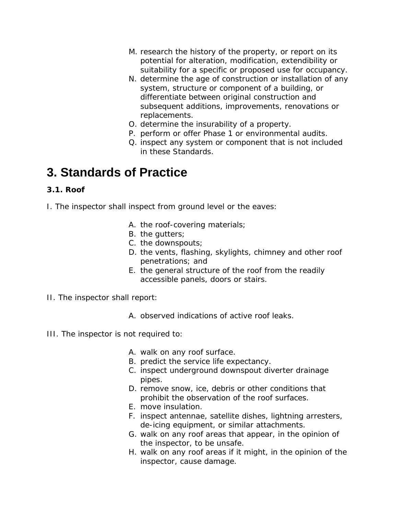- M. research the history of the property, or report on its potential for alteration, modification, extendibility or suitability for a specific or proposed use for occupancy.
- N. determine the age of construction or installation of any system, structure or component of a building, or differentiate between original construction and subsequent additions, improvements, renovations or replacements.
- O. determine the insurability of a property.
- P. perform or offer Phase 1 or environmental audits.
- Q. inspect any system or component that is not included in these Standards.

## **3. Standards of Practice**

### **3.1. Roof**

- I. The inspector shall inspect from ground level or the eaves:
	- A. the roof-covering materials;
	- B. the gutters;
	- C. the downspouts;
	- D. the vents, flashing, skylights, chimney and other roof penetrations; and
	- E. the general structure of the roof from the readily accessible panels, doors or stairs.
- II. The inspector shall report:
	- A. observed indications of active roof leaks.
- III. The inspector is not required to:
	- A. walk on any roof surface.
	- B. predict the service life expectancy.
	- C. inspect underground downspout diverter drainage pipes.
	- D. remove snow, ice, debris or other conditions that prohibit the observation of the roof surfaces.
	- E. move insulation.
	- F. inspect antennae, satellite dishes, lightning arresters, de-icing equipment, or similar attachments.
	- G. walk on any roof areas that appear, in the opinion of the inspector, to be unsafe.
	- H. walk on any roof areas if it might, in the opinion of the inspector, cause damage.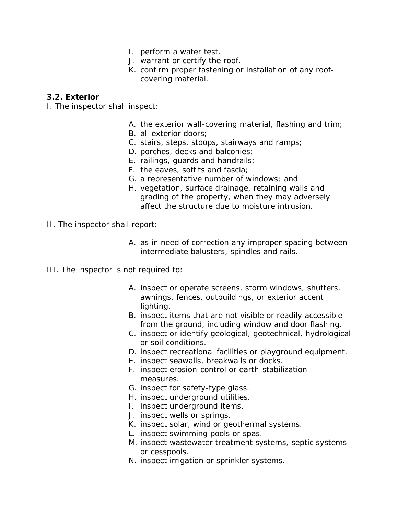- I. perform a water test.
- J. warrant or certify the roof.
- K. confirm proper fastening or installation of any roofcovering material.

#### **3.2. Exterior**

- I. The inspector shall inspect:
	- A. the exterior wall-covering material, flashing and trim;
	- B. all exterior doors;
	- C. stairs, steps, stoops, stairways and ramps;
	- D. porches, decks and balconies;
	- E. railings, guards and handrails;
	- F. the eaves, soffits and fascia;
	- G. a representative number of windows; and
	- H. vegetation, surface drainage, retaining walls and grading of the property, when they may adversely affect the structure due to moisture intrusion.
- II. The inspector shall report:
	- A. as in need of correction any improper spacing between intermediate balusters, spindles and rails.
- III. The inspector is not required to:
	- A. inspect or operate screens, storm windows, shutters, awnings, fences, outbuildings, or exterior accent lighting.
	- B. inspect items that are not visible or readily accessible from the ground, including window and door flashing.
	- C. inspect or identify geological, geotechnical, hydrological or soil conditions.
	- D. inspect recreational facilities or playground equipment.
	- E. inspect seawalls, breakwalls or docks.
	- F. inspect erosion-control or earth-stabilization measures.
	- G. inspect for safety-type glass.
	- H. inspect underground utilities.
	- I. inspect underground items.
	- J. inspect wells or springs.
	- K. inspect solar, wind or geothermal systems.
	- L. inspect swimming pools or spas.
	- M. inspect wastewater treatment systems, septic systems or cesspools.
	- N. inspect irrigation or sprinkler systems.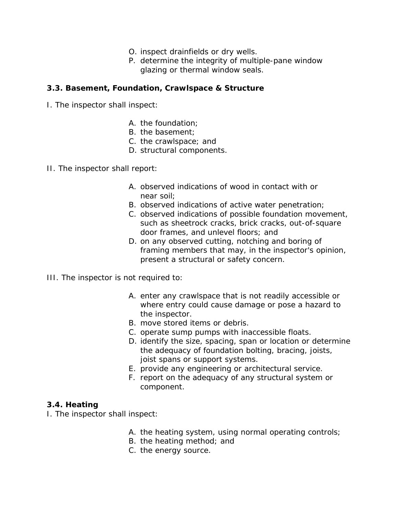- O. inspect drainfields or dry wells.
- P. determine the integrity of multiple-pane window glazing or thermal window seals.

#### **3.3. Basement, Foundation, Crawlspace & Structure**

- I. The inspector shall inspect:
	- A. the foundation;
	- B. the basement;
	- C. the crawlspace; and
	- D. structural components.
- II. The inspector shall report:
	- A. observed indications of wood in contact with or near soil;
	- B. observed indications of active water penetration;
	- C. observed indications of possible foundation movement, such as sheetrock cracks, brick cracks, out-of-square door frames, and unlevel floors; and
	- D. on any observed cutting, notching and boring of framing members that may, in the inspector's opinion, present a structural or safety concern.
- III. The inspector is not required to:
	- A. enter any crawlspace that is not readily accessible or where entry could cause damage or pose a hazard to the inspector.
	- B. move stored items or debris.
	- C. operate sump pumps with inaccessible floats.
	- D. identify the size, spacing, span or location or determine the adequacy of foundation bolting, bracing, joists, joist spans or support systems.
	- E. provide any engineering or architectural service.
	- F. report on the adequacy of any structural system or component.

#### **3.4. Heating**

- I. The inspector shall inspect:
	- A. the heating system, using normal operating controls;
	- B. the heating method; and
	- C. the energy source.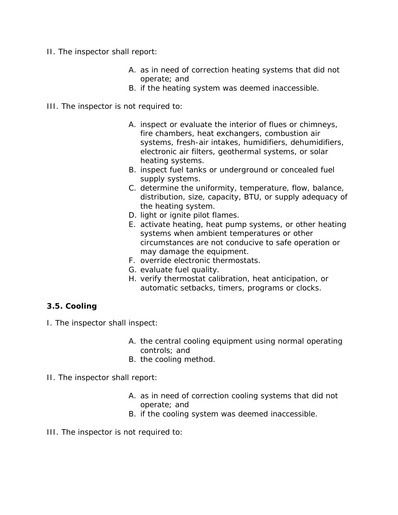- II. The inspector shall report:
	- A. as in need of correction heating systems that did not operate; and
	- B. if the heating system was deemed inaccessible.
- III. The inspector is not required to:
	- A. inspect or evaluate the interior of flues or chimneys, fire chambers, heat exchangers, combustion air systems, fresh-air intakes, humidifiers, dehumidifiers, electronic air filters, geothermal systems, or solar heating systems.
	- B. inspect fuel tanks or underground or concealed fuel supply systems.
	- C. determine the uniformity, temperature, flow, balance, distribution, size, capacity, BTU, or supply adequacy of the heating system.
	- D. light or ignite pilot flames.
	- E. activate heating, heat pump systems, or other heating systems when ambient temperatures or other circumstances are not conducive to safe operation or may damage the equipment.
	- F. override electronic thermostats.
	- G. evaluate fuel quality.
	- H. verify thermostat calibration, heat anticipation, or automatic setbacks, timers, programs or clocks.

### **3.5. Cooling**

I. The inspector shall inspect:

- A. the central cooling equipment using normal operating controls; and
- B. the cooling method.
- II. The inspector shall report:
	- A. as in need of correction cooling systems that did not operate; and
	- B. if the cooling system was deemed inaccessible.
- III. The inspector is not required to: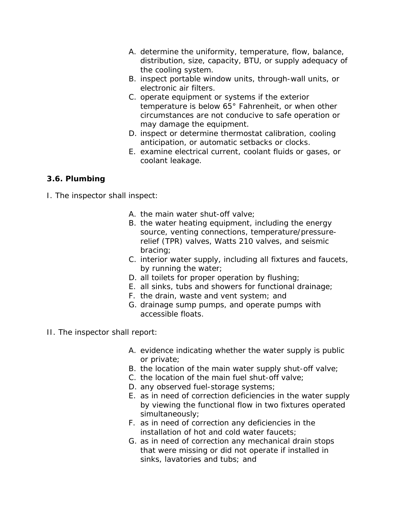- A. determine the uniformity, temperature, flow, balance, distribution, size, capacity, BTU, or supply adequacy of the cooling system.
- B. inspect portable window units, through-wall units, or electronic air filters.
- C. operate equipment or systems if the exterior temperature is below 65° Fahrenheit, or when other circumstances are not conducive to safe operation or may damage the equipment.
- D. inspect or determine thermostat calibration, cooling anticipation, or automatic setbacks or clocks.
- E. examine electrical current, coolant fluids or gases, or coolant leakage.

## **3.6. Plumbing**

- I. The inspector shall inspect:
	- A. the main water shut-off valve;
	- B. the water heating equipment, including the energy source, venting connections, temperature/pressurerelief (TPR) valves, Watts 210 valves, and seismic bracing;
	- C. interior water supply, including all fixtures and faucets, by running the water;
	- D. all toilets for proper operation by flushing;
	- E. all sinks, tubs and showers for functional drainage;
	- F. the drain, waste and vent system; and
	- G. drainage sump pumps, and operate pumps with accessible floats.
- II. The inspector shall report:
	- A. evidence indicating whether the water supply is public or private;
	- B. the location of the main water supply shut-off valve;
	- C. the location of the main fuel shut-off valve;
	- D. any observed fuel-storage systems;
	- E. as in need of correction deficiencies in the water supply by viewing the functional flow in two fixtures operated simultaneously;
	- F. as in need of correction any deficiencies in the installation of hot and cold water faucets;
	- G. as in need of correction any mechanical drain stops that were missing or did not operate if installed in sinks, lavatories and tubs; and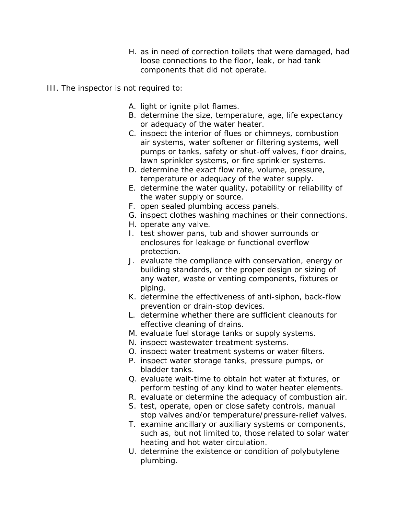- H. as in need of correction toilets that were damaged, had loose connections to the floor, leak, or had tank components that did not operate.
- III. The inspector is not required to:
	- A. light or ignite pilot flames.
	- B. determine the size, temperature, age, life expectancy or adequacy of the water heater.
	- C. inspect the interior of flues or chimneys, combustion air systems, water softener or filtering systems, well pumps or tanks, safety or shut-off valves, floor drains, lawn sprinkler systems, or fire sprinkler systems.
	- D. determine the exact flow rate, volume, pressure, temperature or adequacy of the water supply.
	- E. determine the water quality, potability or reliability of the water supply or source.
	- F. open sealed plumbing access panels.
	- G. inspect clothes washing machines or their connections.
	- H. operate any valve.
	- I. test shower pans, tub and shower surrounds or enclosures for leakage or functional overflow protection.
	- J. evaluate the compliance with conservation, energy or building standards, or the proper design or sizing of any water, waste or venting components, fixtures or piping.
	- K. determine the effectiveness of anti-siphon, back-flow prevention or drain-stop devices.
	- L. determine whether there are sufficient cleanouts for effective cleaning of drains.
	- M. evaluate fuel storage tanks or supply systems.
	- N. inspect wastewater treatment systems.
	- O. inspect water treatment systems or water filters.
	- P. inspect water storage tanks, pressure pumps, or bladder tanks.
	- Q. evaluate wait-time to obtain hot water at fixtures, or perform testing of any kind to water heater elements.
	- R. evaluate or determine the adequacy of combustion air.
	- S. test, operate, open or close safety controls, manual stop valves and/or temperature/pressure-relief valves.
	- T. examine ancillary or auxiliary systems or components, such as, but not limited to, those related to solar water heating and hot water circulation.
	- U. determine the existence or condition of polybutylene plumbing.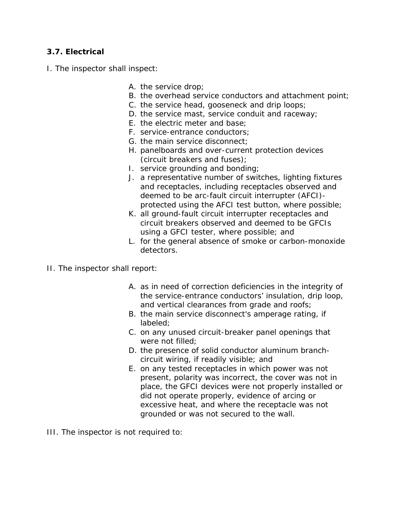#### **3.7. Electrical**

- I. The inspector shall inspect:
	- A. the service drop;
	- B. the overhead service conductors and attachment point;
	- C. the service head, gooseneck and drip loops;
	- D. the service mast, service conduit and raceway;
	- E. the electric meter and base;
	- F. service-entrance conductors;
	- G. the main service disconnect;
	- H. panelboards and over-current protection devices (circuit breakers and fuses);
	- I. service grounding and bonding;
	- J. a representative number of switches, lighting fixtures and receptacles, including receptacles observed and deemed to be arc-fault circuit interrupter (AFCI) protected using the AFCI test button, where possible;
	- K. all ground-fault circuit interrupter receptacles and circuit breakers observed and deemed to be GFCIs using a GFCI tester, where possible; and
	- L. for the general absence of smoke or carbon-monoxide detectors.
- II. The inspector shall report:
	- A. as in need of correction deficiencies in the integrity of the service-entrance conductors' insulation, drip loop, and vertical clearances from grade and roofs;
	- B. the main service disconnect's amperage rating, if labeled;
	- C. on any unused circuit-breaker panel openings that were not filled;
	- D. the presence of solid conductor aluminum branchcircuit wiring, if readily visible; and
	- E. on any tested receptacles in which power was not present, polarity was incorrect, the cover was not in place, the GFCI devices were not properly installed or did not operate properly, evidence of arcing or excessive heat, and where the receptacle was not grounded or was not secured to the wall.
- III. The inspector is not required to: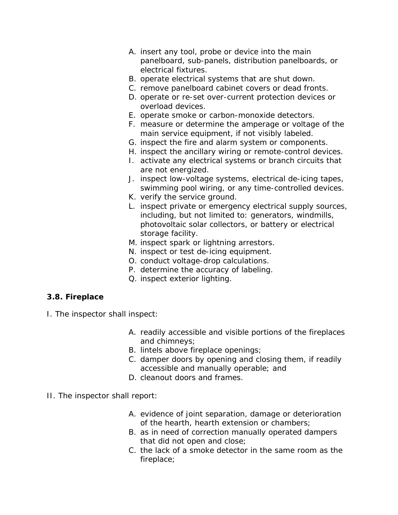- A. insert any tool, probe or device into the main panelboard, sub-panels, distribution panelboards, or electrical fixtures.
- B. operate electrical systems that are shut down.
- C. remove panelboard cabinet covers or dead fronts.
- D. operate or re-set over-current protection devices or overload devices.
- E. operate smoke or carbon-monoxide detectors.
- F. measure or determine the amperage or voltage of the main service equipment, if not visibly labeled.
- G. inspect the fire and alarm system or components.
- H. inspect the ancillary wiring or remote-control devices.
- I. activate any electrical systems or branch circuits that are not energized.
- J. inspect low-voltage systems, electrical de-icing tapes, swimming pool wiring, or any time-controlled devices.
- K. verify the service ground.
- L. inspect private or emergency electrical supply sources, including, but not limited to: generators, windmills, photovoltaic solar collectors, or battery or electrical storage facility.
- M. inspect spark or lightning arrestors.
- N. inspect or test de-icing equipment.
- O. conduct voltage-drop calculations.
- P. determine the accuracy of labeling.
- Q. inspect exterior lighting.

### **3.8. Fireplace**

- I. The inspector shall inspect:
	- A. readily accessible and visible portions of the fireplaces and chimneys;
	- B. lintels above fireplace openings;
	- C. damper doors by opening and closing them, if readily accessible and manually operable; and
	- D. cleanout doors and frames.
- II. The inspector shall report:
	- A. evidence of joint separation, damage or deterioration of the hearth, hearth extension or chambers;
	- B. as in need of correction manually operated dampers that did not open and close;
	- C. the lack of a smoke detector in the same room as the fireplace;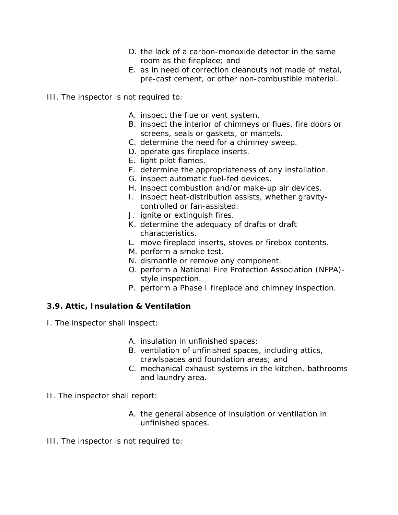- D. the lack of a carbon-monoxide detector in the same room as the fireplace; and
- E. as in need of correction cleanouts not made of metal, pre-cast cement, or other non-combustible material.
- III. The inspector is not required to:
	- A. inspect the flue or vent system.
	- B. inspect the interior of chimneys or flues, fire doors or screens, seals or gaskets, or mantels.
	- C. determine the need for a chimney sweep.
	- D. operate gas fireplace inserts.
	- E. light pilot flames.
	- F. determine the appropriateness of any installation.
	- G. inspect automatic fuel-fed devices.
	- H. inspect combustion and/or make-up air devices.
	- I. inspect heat-distribution assists, whether gravitycontrolled or fan-assisted.
	- J. ignite or extinguish fires.
	- K. determine the adequacy of drafts or draft characteristics.
	- L. move fireplace inserts, stoves or firebox contents.
	- M. perform a smoke test.
	- N. dismantle or remove any component.
	- O. perform a National Fire Protection Association (NFPA) style inspection.
	- P. perform a Phase I fireplace and chimney inspection.

#### **3.9. Attic, Insulation & Ventilation**

- I. The inspector shall inspect:
	- A. insulation in unfinished spaces;
	- B. ventilation of unfinished spaces, including attics, crawlspaces and foundation areas; and
	- C. mechanical exhaust systems in the kitchen, bathrooms and laundry area.
- II. The inspector shall report:
	- A. the general absence of insulation or ventilation in unfinished spaces.
- III. The inspector is not required to: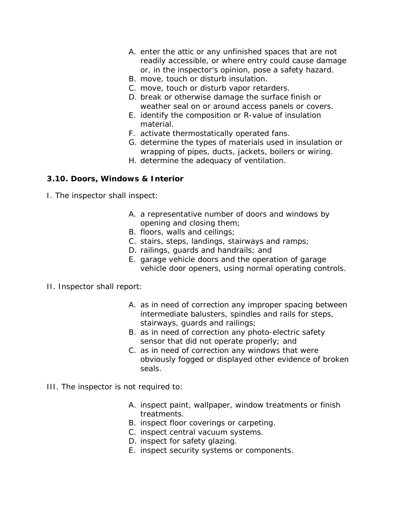- A. enter the attic or any unfinished spaces that are not readily accessible, or where entry could cause damage or, in the inspector's opinion, pose a safety hazard.
- B. move, touch or disturb insulation.
- C. move, touch or disturb vapor retarders.
- D. break or otherwise damage the surface finish or weather seal on or around access panels or covers.
- E. identify the composition or R-value of insulation material.
- F. activate thermostatically operated fans.
- G. determine the types of materials used in insulation or wrapping of pipes, ducts, jackets, boilers or wiring.
- H. determine the adequacy of ventilation.

#### **3.10. Doors, Windows & Interior**

- I. The inspector shall inspect:
	- A. a representative number of doors and windows by opening and closing them;
	- B. floors, walls and ceilings;
	- C. stairs, steps, landings, stairways and ramps;
	- D. railings, guards and handrails; and
	- E. garage vehicle doors and the operation of garage vehicle door openers, using normal operating controls.

#### II. Inspector shall report:

- A. as in need of correction any improper spacing between intermediate balusters, spindles and rails for steps, stairways, guards and railings;
- B. as in need of correction any photo-electric safety sensor that did not operate properly; and
- C. as in need of correction any windows that were obviously fogged or displayed other evidence of broken seals.
- III. The inspector is not required to:
	- A. inspect paint, wallpaper, window treatments or finish treatments.
	- B. inspect floor coverings or carpeting.
	- C. inspect central vacuum systems.
	- D. inspect for safety glazing.
	- E. inspect security systems or components.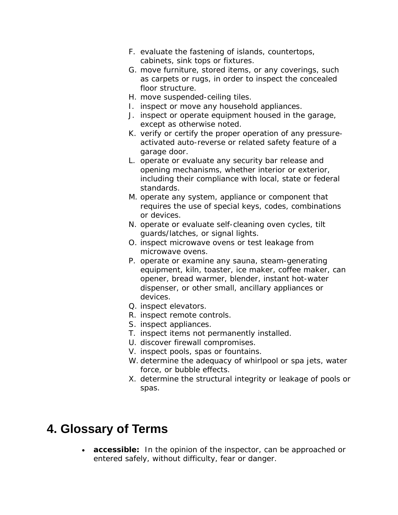- F. evaluate the fastening of islands, countertops, cabinets, sink tops or fixtures.
- G. move furniture, stored items, or any coverings, such as carpets or rugs, in order to inspect the concealed floor structure.
- H. move suspended-ceiling tiles.
- I. inspect or move any household appliances.
- J. inspect or operate equipment housed in the garage, except as otherwise noted.
- K. verify or certify the proper operation of any pressureactivated auto-reverse or related safety feature of a garage door.
- L. operate or evaluate any security bar release and opening mechanisms, whether interior or exterior, including their compliance with local, state or federal standards.
- M. operate any system, appliance or component that requires the use of special keys, codes, combinations or devices.
- N. operate or evaluate self-cleaning oven cycles, tilt guards/latches, or signal lights.
- O. inspect microwave ovens or test leakage from microwave ovens.
- P. operate or examine any sauna, steam-generating equipment, kiln, toaster, ice maker, coffee maker, can opener, bread warmer, blender, instant hot-water dispenser, or other small, ancillary appliances or devices.
- Q. inspect elevators.
- R. inspect remote controls.
- S. inspect appliances.
- T. inspect items not permanently installed.
- U. discover firewall compromises.
- V. inspect pools, spas or fountains.
- W. determine the adequacy of whirlpool or spa jets, water force, or bubble effects.
- X. determine the structural integrity or leakage of pools or spas.

## **4. Glossary of Terms**

• **accessible:** In the opinion of the inspector, can be approached or entered safely, without difficulty, fear or danger.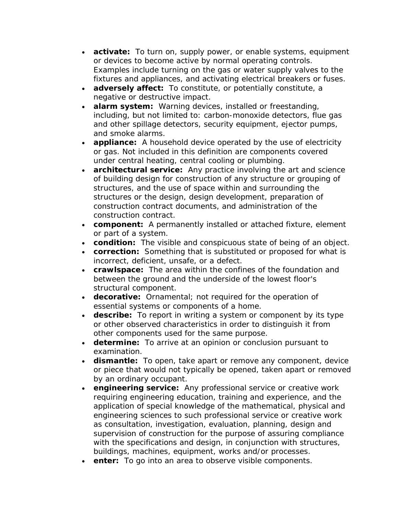- **activate:** To turn on, supply power, or enable systems, equipment or devices to become active by normal operating controls. Examples include turning on the gas or water supply valves to the fixtures and appliances, and activating electrical breakers or fuses.
- **adversely affect:** To constitute, or potentially constitute, a negative or destructive impact.
- **alarm system:** Warning devices, installed or freestanding, including, but not limited to: carbon-monoxide detectors, flue gas and other spillage detectors, security equipment, ejector pumps, and smoke alarms.
- **appliance:** A household device operated by the use of electricity or gas. Not included in this definition are components covered under central heating, central cooling or plumbing.
- **architectural service:** Any practice involving the art and science of building design for construction of any structure or grouping of structures, and the use of space within and surrounding the structures or the design, design development, preparation of construction contract documents, and administration of the construction contract.
- **component:** A permanently installed or attached fixture, element or part of a system.
- **condition:** The visible and conspicuous state of being of an object.
- **correction:** Something that is substituted or proposed for what is incorrect, deficient, unsafe, or a defect.
- **crawlspace:** The area within the confines of the foundation and between the ground and the underside of the lowest floor's structural component.
- **decorative:** Ornamental; not required for the operation of essential systems or components of a home.
- **describe:** To report in writing a system or component by its type or other observed characteristics in order to distinguish it from other components used for the same purpose.
- **determine:** To arrive at an opinion or conclusion pursuant to examination.
- **dismantle:** To open, take apart or remove any component, device or piece that would not typically be opened, taken apart or removed by an ordinary occupant.
- **engineering service:** Any professional service or creative work requiring engineering education, training and experience, and the application of special knowledge of the mathematical, physical and engineering sciences to such professional service or creative work as consultation, investigation, evaluation, planning, design and supervision of construction for the purpose of assuring compliance with the specifications and design, in conjunction with structures, buildings, machines, equipment, works and/or processes.
- **enter:** To go into an area to observe visible components.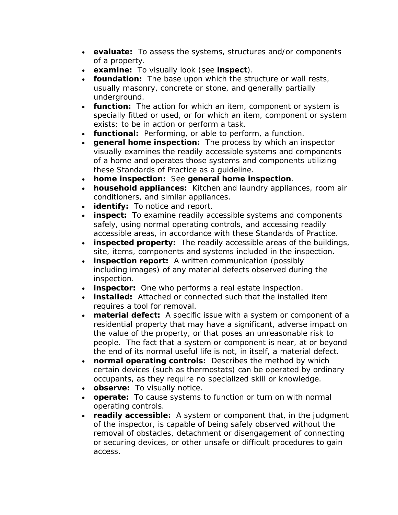- **evaluate:** To assess the systems, structures and/or components of a property.
- **examine:** To visually look (see **inspect**).
- **foundation:** The base upon which the structure or wall rests, usually masonry, concrete or stone, and generally partially underground.
- **function:** The action for which an item, component or system is specially fitted or used, or for which an item, component or system exists; to be in action or perform a task.
- **functional:** Performing, or able to perform, a function.
- **general home inspection:** The process by which an inspector visually examines the readily accessible systems and components of a home and operates those systems and components utilizing these Standards of Practice as a guideline.
- **home inspection:** See **general home inspection**.
- **household appliances:** Kitchen and laundry appliances, room air conditioners, and similar appliances.
- **identify:** To notice and report.
- **inspect:** To examine readily accessible systems and components safely, using normal operating controls, and accessing readily accessible areas, in accordance with these Standards of Practice.
- **inspected property:** The readily accessible areas of the buildings, site, items, components and systems included in the inspection.
- **inspection report:** A written communication (possibly including images) of any material defects observed during the inspection.
- **inspector:** One who performs a real estate inspection.
- **installed:** Attached or connected such that the installed item requires a tool for removal.
- **material defect:** A specific issue with a system or component of a residential property that may have a significant, adverse impact on the value of the property, or that poses an unreasonable risk to people. The fact that a system or component is near, at or beyond the end of its normal useful life is not, in itself, a material defect.
- **normal operating controls:** Describes the method by which certain devices (such as thermostats) can be operated by ordinary occupants, as they require no specialized skill or knowledge.
- **observe:** To visually notice.
- **operate:** To cause systems to function or turn on with normal operating controls.
- **readily accessible:** A system or component that, in the judgment of the inspector, is capable of being safely observed without the removal of obstacles, detachment or disengagement of connecting or securing devices, or other unsafe or difficult procedures to gain access.